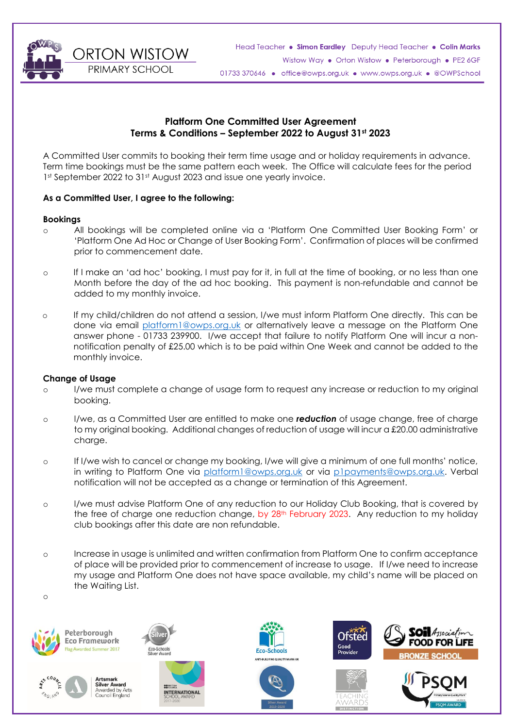**ORTON WISTOW** PRIMARY SCHOOL



# **Platform One Committed User Agreement Terms & Conditions – September 2022 to August 31st 2023**

A Committed User commits to booking their term time usage and or holiday requirements in advance. Term time bookings must be the same pattern each week. The Office will calculate fees for the period 1st September 2022 to 31st August 2023 and issue one yearly invoice.

# **As a Committed User, I agree to the following:**

### **Bookings**

- o All bookings will be completed online via a 'Platform One Committed User Booking Form' or 'Platform One Ad Hoc or Change of User Booking Form'. Confirmation of places will be confirmed prior to commencement date.
- o If I make an 'ad hoc' booking, I must pay for it, in full at the time of booking, or no less than one Month before the day of the ad hoc booking. This payment is non-refundable and cannot be added to my monthly invoice.
- o If my child/children do not attend a session, I/we must inform Platform One directly. This can be done via email [platform1@owps.org.uk](mailto:platform1@owps.org.uk) or alternatively leave a message on the Platform One answer phone - 01733 239900. I/we accept that failure to notify Platform One will incur a nonnotification penalty of £25.00 which is to be paid within One Week and cannot be added to the monthly invoice.

### **Change of Usage**

- o I/we must complete a change of usage form to request any increase or reduction to my original booking.
- o I/we, as a Committed User are entitled to make one *reduction* of usage change, free of charge to my original booking. Additional changes of reduction of usage will incur a £20.00 administrative charge.
- o If I/we wish to cancel or change my booking, I/we will give a minimum of one full months' notice, in writing to Platform One via [platform1@owps.org.uk](mailto:platform1@owps.org.uk) or via [p1payments@owps.org.uk.](mailto:p1payments@owps.org.uk) Verbal notification will not be accepted as a change or termination of this Agreement.
- o I/we must advise Platform One of any reduction to our Holiday Club Booking, that is covered by the free of charge one reduction change, by 28<sup>th</sup> February 2023. Any reduction to my holiday club bookings after this date are non refundable.
- o Increase in usage is unlimited and written confirmation from Platform One to confirm acceptance of place will be provided prior to commencement of increase to usage. If I/we need to increase my usage and Platform One does not have space available, my child's name will be placed on the Waiting List.







ner 2017



**99 BRITISH** 

**INTERNATIONAL** 











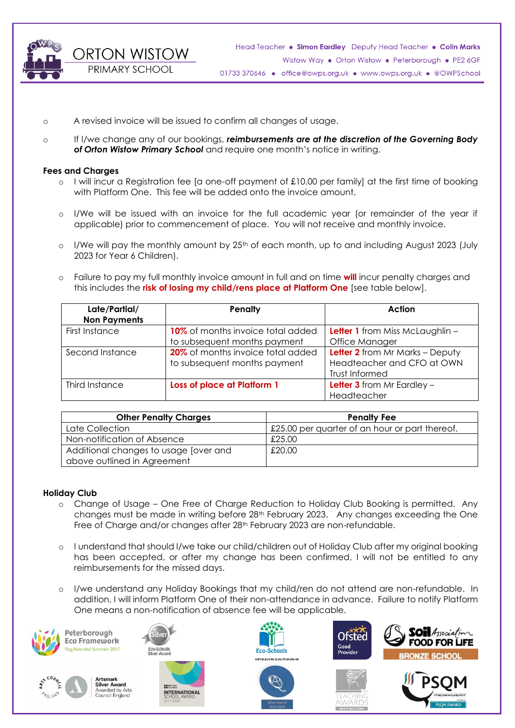**ORTON WISTOW** 

PRIMARY SCHOOL

Head Teacher . Simon Eardley Deputy Head Teacher . Colin Marks Wistow Way . Orton Wistow . Peterborough . PE2 6GF 01733 370646 · office@owps.org.uk · www.owps.org.uk · @OWPSchool

- o A revised invoice will be issued to confirm all changes of usage.
- o If I/we change any of our bookings, *reimbursements are at the discretion of the Governing Body of Orton Wistow Primary School* and require one month's notice in writing.

#### **Fees and Charges**

- $\circ$  I will incur a Registration fee [a one-off payment of £10.00 per family] at the first time of booking with Platform One. This fee will be added onto the invoice amount.
- o I/We will be issued with an invoice for the full academic year (or remainder of the year if applicable) prior to commencement of place. You will not receive and monthly invoice.
- $\circ$  I/We will pay the monthly amount by 25<sup>th</sup> of each month, up to and including August 2023 (July 2023 for Year 6 Children).
- o Failure to pay my full monthly invoice amount in full and on time **will** incur penalty charges and this includes the **risk of losing my child/rens place at Platform One** [see table below].

| Late/Partial/<br><b>Non Payments</b> | Penalty                                                           | Action                                                                          |
|--------------------------------------|-------------------------------------------------------------------|---------------------------------------------------------------------------------|
| First Instance                       | 10% of months invoice total added<br>to subsequent months payment | <b>Letter 1</b> from Miss McLaughlin -<br>Office Manager                        |
| Second Instance                      | 20% of months invoice total added<br>to subsequent months payment | Letter 2 from Mr Marks - Deputy<br>Headteacher and CFO at OWN<br>Trust Informed |
| Third Instance                       | Loss of place at Platform 1                                       | <b>Letter 3</b> from Mr Eardley $-$<br>Headteacher                              |

| <b>Other Penalty Charges</b>          | <b>Penalty Fee</b>                             |  |
|---------------------------------------|------------------------------------------------|--|
| Late Collection                       | £25.00 per quarter of an hour or part thereof. |  |
| Non-notification of Absence           | £25.00                                         |  |
| Additional changes to usage [over and | £20.00                                         |  |
| above outlined in Agreement           |                                                |  |

### **Holiday Club**

- o Change of Usage One Free of Charge Reduction to Holiday Club Booking is permitted. Any changes must be made in writing before 28<sup>th</sup> February 2023. Any changes exceeding the One Free of Charge and/or changes after 28<sup>th</sup> February 2023 are non-refundable.
- o I understand that should I/we take our child/children out of Holiday Club after my original booking has been accepted, or after my change has been confirmed, I will not be entitled to any reimbursements for the missed days.
- I/we understand any Holiday Bookings that my child/ren do not attend are non-refundable. In addition, I will inform Platform One of their non-attendance in advance. Failure to notify Platform One means a non-notification of absence fee will be applicable.